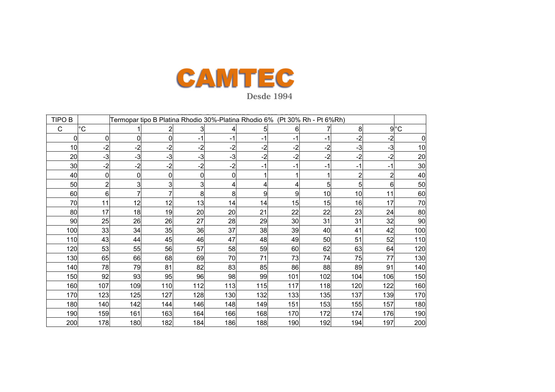

|              |                |                |                 |      | Termopar tipo B Platina Rhodio 30%-Platina Rhodio 6% (Pt 30% Rh - Pt 6%Rh) |      |      |          |      |             | <b>TIPO B</b> |
|--------------|----------------|----------------|-----------------|------|----------------------------------------------------------------------------|------|------|----------|------|-------------|---------------|
| $9^{\circ}C$ |                | 8 <sup>1</sup> |                 | 6    | 5                                                                          |      |      |          |      | $^{\circ}C$ | C             |
| 0            | $-2$           | $-2$           | $-1$            | -1   | -1                                                                         | -1   | -1   | 0        | 0    | 0           | 0             |
| 10           | $-3$           | $-3$           | $-2$            | $-2$ | $-2$                                                                       | $-2$ | $-2$ | $-2$     | $-2$ | $-2$        | 10            |
| 20           | $-2$           | $-2$           | $-2$            | $-2$ | $-2$                                                                       | $-3$ | $-3$ | $-3$     | $-3$ | $-3$        | 20            |
| 30           | -1             | -1             | -1              | -1   | -1                                                                         | $-2$ | $-2$ | $-2$     | $-2$ | -2          | 30            |
| 40           | $\overline{2}$ | $\overline{2}$ |                 |      |                                                                            |      | 0    | $\Omega$ | 0    | 0           | 40            |
| 50           | 61             | 51             | 5               |      | 4                                                                          |      | 3    | 3        | 3    |             | 50            |
| 60           | 11             | 10             | 10 <sup>1</sup> | 9    | 9                                                                          | 8    | 8    |          |      | 6           | 60            |
| 70           | 17             | 16             | 15              | 15   | 14                                                                         | 14   | 13   | 12       | 12   | 11          | 70            |
| 80           | 24             | 23             | 22              | 22   | 21                                                                         | 20   | 20   | 19       | 18   | 17          | 80            |
| 90           | 32             | 31             | 31              | 30   | 29                                                                         | 28   | 27   | 26       | 26   | 25          | 90            |
| 100          | 42             | 41             | 40              | 39   | 38                                                                         | 37   | 36   | 35       | 34   | 33          | 100           |
| 110          | 52             | 51             | 50              | 49   | 48                                                                         | 47   | 46   | 45       | 44   | 43          | 110           |
| 120          | 64             | 63             | 62              | 60   | 59                                                                         | 58   | 57   | 56       | 55   | 53          | 120           |
| 130          | 77             | 75             | 74              | 73   | 71                                                                         | 70   | 69   | 68       | 66   | 65          | 130           |
| 140          | 91             | 89             | 88              | 86   | 85                                                                         | 83   | 82   | 81       | 79   | 78          | 140           |
| 150          | 106            | 104            | 102             | 101  | 99                                                                         | 98   | 96   | 95       | 93   | 92          | 150           |
| 160          | 122            | 120            | 118             | 117  | 115                                                                        | 113  | 112  | 110      | 109  | 107         | 160           |
| 170          | 139            | 137            | 135             | 133  | 132                                                                        | 130  | 128  | 127      | 125  | 123         | 170           |
| 180          | 157            | 155            | 153             | 151  | 149                                                                        | 148  | 146  | 144      | 142  | 140         | 180           |
| 190          | 176            | 174            | 172             | 170  | 168                                                                        | 166  | 164  | 163      | 161  | 159         | 190           |
| 200          | 197            | 194            | 192             | 190  | 188                                                                        | 186  | 184  | 182      | 180  | 178         | <b>200</b>    |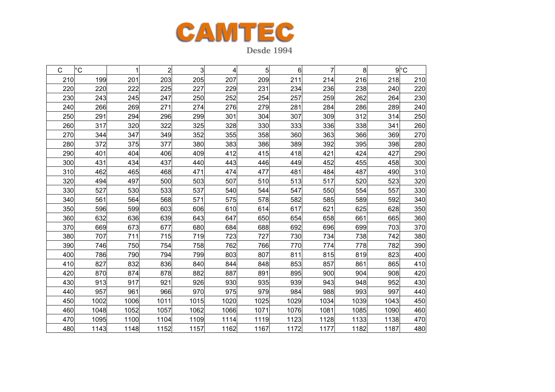

| $\mathsf{C}$ | $^{\circ}C$ | 1    | $\overline{2}$ | 3    | 4    | 5    | 6    | 7    | 8    |      | $9^{\circ}$ C |
|--------------|-------------|------|----------------|------|------|------|------|------|------|------|---------------|
| 210          | 199         | 201  | 203            | 205  | 207  | 209  | 211  | 214  | 216  | 218  | 210           |
| 220          | 220         | 222  | 225            | 227  | 229  | 231  | 234  | 236  | 238  | 240  | 220           |
| 230          | 243         | 245  | 247            | 250  | 252  | 254  | 257  | 259  | 262  | 264  | 230           |
| 240          | 266         | 269  | 271            | 274  | 276  | 279  | 281  | 284  | 286  | 289  | 240           |
| 250          | 291         | 294  | 296            | 299  | 301  | 304  | 307  | 309  | 312  | 314  | 250           |
| 260          | 317         | 320  | 322            | 325  | 328  | 330  | 333  | 336  | 338  | 341  | 260           |
| 270          | 344         | 347  | 349            | 352  | 355  | 358  | 360  | 363  | 366  | 369  | 270           |
| 280          | 372         | 375  | 377            | 380  | 383  | 386  | 389  | 392  | 395  | 398  | 280           |
| 290          | 401         | 404  | 406            | 409  | 412  | 415  | 418  | 421  | 424  | 427  | 290           |
| 300          | 431         | 434  | 437            | 440  | 443  | 446  | 449  | 452  | 455  | 458  | 300           |
| 310          | 462         | 465  | 468            | 471  | 474  | 477  | 481  | 484  | 487  | 490  | 310           |
| 320          | 494         | 497  | 500            | 503  | 507  | 510  | 513  | 517  | 520  | 523  | 320           |
| 330          | 527         | 530  | 533            | 537  | 540  | 544  | 547  | 550  | 554  | 557  | 330           |
| 340          | 561         | 564  | 568            | 571  | 575  | 578  | 582  | 585  | 589  | 592  | 340           |
| 350          | 596         | 599  | 603            | 606  | 610  | 614  | 617  | 621  | 625  | 628  | 350           |
| 360          | 632         | 636  | 639            | 643  | 647  | 650  | 654  | 658  | 661  | 665  | 360           |
| 370          | 669         | 673  | 677            | 680  | 684  | 688  | 692  | 696  | 699  | 703  | 370           |
| 380          | 707         | 711  | 715            | 719  | 723  | 727  | 730  | 734  | 738  | 742  | 380           |
| 390          | 746         | 750  | 754            | 758  | 762  | 766  | 770  | 774  | 778  | 782  | 390           |
| 400          | 786         | 790  | 794            | 799  | 803  | 807  | 811  | 815  | 819  | 823  | 400           |
| 410          | 827         | 832  | 836            | 840  | 844  | 848  | 853  | 857  | 861  | 865  | 410           |
| 420          | 870         | 874  | 878            | 882  | 887  | 891  | 895  | 900  | 904  | 908  | 420           |
| 430          | 913         | 917  | 921            | 926  | 930  | 935  | 939  | 943  | 948  | 952  | 430           |
| 440          | 957         | 961  | 966            | 970  | 975  | 979  | 984  | 988  | 993  | 997  | 440           |
| 450          | 1002        | 1006 | 1011           | 1015 | 1020 | 1025 | 1029 | 1034 | 1039 | 1043 | 450           |
| 460          | 1048        | 1052 | 1057           | 1062 | 1066 | 1071 | 1076 | 1081 | 1085 | 1090 | 460           |
| 470          | 1095        | 1100 | 1104           | 1109 | 1114 | 1119 | 1123 | 1128 | 1133 | 1138 | 470           |
| 480          | 1143        | 1148 | 1152           | 1157 | 1162 | 1167 | 1172 | 1177 | 1182 | 1187 | 480           |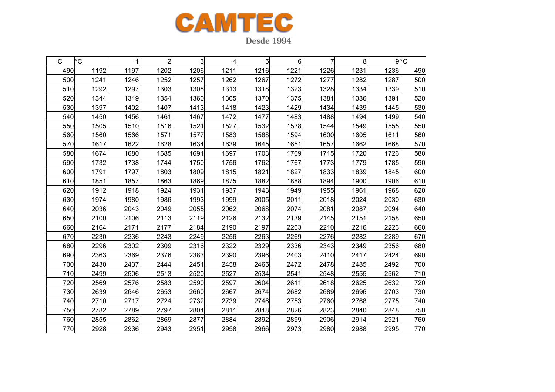

C |°C | 1 | 2| 3| 4| 5| 6| 7| 8| 9|°C 4900| 1192| 1197| 1202| 1206| 1211| 1216| 1221| 1226| 1231| 1236| 490 5000| 1241| 1246| 1252| 1257| 1262| 1267| 1272| 1277| 1282| 1287| 500 5100| 1292| 1297| 1303| 1308| 1313| 1318| 1323| 1328| 1334| 1339| 510 5200| 1344| 1349| 1354| 1360| 1365| 1370| 1375| 1381| 1386| 1391| 520 5300| 1397| 1402| 1407| 1413| 1418| 1423| 1429| 1434| 1439| 1445| 530 5400| 1450| 1456| 1461| 1467| 1472| 1477| 1483| 1488| 1494| 1499| 540 5500| 1505| 1510| 1516| 1521| 1527| 1532| 1538| 1544| 1549| 1555| 550 5600| 1560| 1566| 1571| 1577| 1583| 1588| 1594| 1600| 1605| 1611| 560 5700| 1617| 1622| 1628| 1634| 1639| 1645| 1651| 1657| 1662| 1668| 570 5800| 1674| 1680| 1685| 1691| 1697| 1703| 1709| 1715| 1720| 1726| 580 5900| 1732| 1738| 1744| 1750| 1756| 1762| 1767| 1773| 1779| 1785| 590 6000| 1791| 1797| 1803| 1809| 1815| 1821| 1827| 1833| 1839| 1845| 600 6100| 1851| 1857| 1863| 1869| 1875| 1882| 1888| 1894| 1900| 1906| 610 6200| 1912| 1918| 1924| 1931| 1937| 1943| 1949| 1955| 1961| 1968| 620 6300| 1974| 1980| 1986| 1993| 1999| 2005| 2011| 2018| 2024| 2030| 630 6400| 2036| 2043| 2049| 2055| 2062| 2068| 2074| 2081| 2087| 2094| 640 650 2100 2106 2113 2119 2126 2132 2139 2145 2151 2158 650 660 2164 2171 2177 2184 2190 2197 2203 2210 2216 2223 660 670 2230 2236 2243 2249 2256 2263 2269 2276 2282 2289 670 680 2296 2302 2309 2316 2322 2329 2336 2343 2349 2356 680 690 2363 2369 2376 2383 2390 2396 2403 2410 2417 2424 690 700 2430 2437 2444 2451 2458 2465 2472 2478 2485 2492 700 7100| 2499| 2506| 2513| 2520| 2527| 2534| 2541| 2548| 2555| 2562| 710 720 2569 2576 2583 2590 2597 2604 2611 2618 2625 2632 720 7300| 2639| 2646| 2653| 2660| 2667| 2674| 2682| 2689| 2696| 2703| 730 740 2710 2717 2724 2732 2739 2746 2753 2760 2768 2775 740 7500| 2782| 2789| 2797| 2804| 2811| 2818| 2826| 2823| 2840| 2848| 750 760 2855 2862 2869 2877 2884 2892 2899 2906 2914 2921 760 7700| 2928| 2936| 2943| 2951| 2958| 2966| 2973| 2980| 2988| 2995| 770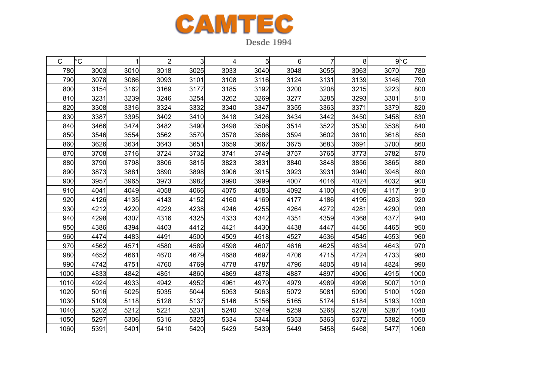

| С    | °С   |      | $\overline{2}$ | 3    | 4    | 5    | 6    | 7    | 8    |      | $9^{\circ}$ C |
|------|------|------|----------------|------|------|------|------|------|------|------|---------------|
| 780  | 3003 | 3010 | 3018           | 3025 | 3033 | 3040 | 3048 | 3055 | 3063 | 3070 | 780           |
| 790  | 3078 | 3086 | 3093           | 3101 | 3108 | 3116 | 3124 | 3131 | 3139 | 3146 | 790           |
| 800  | 3154 | 3162 | 3169           | 3177 | 3185 | 3192 | 3200 | 3208 | 3215 | 3223 | 800           |
| 810  | 3231 | 3239 | 3246           | 3254 | 3262 | 3269 | 3277 | 3285 | 3293 | 3301 | 810           |
| 820  | 3308 | 3316 | 3324           | 3332 | 3340 | 3347 | 3355 | 3363 | 3371 | 3379 | 820           |
| 830  | 3387 | 3395 | 3402           | 3410 | 3418 | 3426 | 3434 | 3442 | 3450 | 3458 | 830           |
| 840  | 3466 | 3474 | 3482           | 3490 | 3498 | 3506 | 3514 | 3522 | 3530 | 3538 | 840           |
| 850  | 3546 | 3554 | 3562           | 3570 | 3578 | 3586 | 3594 | 3602 | 3610 | 3618 | 850           |
| 860  | 3626 | 3634 | 3643           | 3651 | 3659 | 3667 | 3675 | 3683 | 3691 | 3700 | 860           |
| 870  | 3708 | 3716 | 3724           | 3732 | 3741 | 3749 | 3757 | 3765 | 3773 | 3782 | 870           |
| 880  | 3790 | 3798 | 3806           | 3815 | 3823 | 3831 | 3840 | 3848 | 3856 | 3865 | 880           |
| 890  | 3873 | 3881 | 3890           | 3898 | 3906 | 3915 | 3923 | 3931 | 3940 | 3948 | 890           |
| 900  | 3957 | 3965 | 3973           | 3982 | 3990 | 3999 | 4007 | 4016 | 4024 | 4032 | 900           |
| 910  | 4041 | 4049 | 4058           | 4066 | 4075 | 4083 | 4092 | 4100 | 4109 | 4117 | 910           |
| 920  | 4126 | 4135 | 4143           | 4152 | 4160 | 4169 | 4177 | 4186 | 4195 | 4203 | 920           |
| 930  | 4212 | 4220 | 4229           | 4238 | 4246 | 4255 | 4264 | 4272 | 4281 | 4290 | 930           |
| 940  | 4298 | 4307 | 4316           | 4325 | 4333 | 4342 | 4351 | 4359 | 4368 | 4377 | 940           |
| 950  | 4386 | 4394 | 4403           | 4412 | 4421 | 4430 | 4438 | 4447 | 4456 | 4465 | 950           |
| 960  | 4474 | 4483 | 4491           | 4500 | 4509 | 4518 | 4527 | 4536 | 4545 | 4553 | 960           |
| 970  | 4562 | 4571 | 4580           | 4589 | 4598 | 4607 | 4616 | 4625 | 4634 | 4643 | 970           |
| 980  | 4652 | 4661 | 4670           | 4679 | 4688 | 4697 | 4706 | 4715 | 4724 | 4733 | 980           |
| 990  | 4742 | 4751 | 4760           | 4769 | 4778 | 4787 | 4796 | 4805 | 4814 | 4824 | 990           |
| 1000 | 4833 | 4842 | 4851           | 4860 | 4869 | 4878 | 4887 | 4897 | 4906 | 4915 | 1000          |
| 1010 | 4924 | 4933 | 4942           | 4952 | 4961 | 4970 | 4979 | 4989 | 4998 | 5007 | 1010          |
| 1020 | 5016 | 5025 | 5035           | 5044 | 5053 | 5063 | 5072 | 5081 | 5090 | 5100 | 1020          |
| 1030 | 5109 | 5118 | 5128           | 5137 | 5146 | 5156 | 5165 | 5174 | 5184 | 5193 | 1030          |
| 1040 | 5202 | 5212 | 5221           | 5231 | 5240 | 5249 | 5259 | 5268 | 5278 | 5287 | 1040          |
| 1050 | 5297 | 5306 | 5316           | 5325 | 5334 | 5344 | 5353 | 5363 | 5372 | 5382 | 1050          |
| 1060 | 5391 | 5401 | 5410           | 5420 | 5429 | 5439 | 5449 | 5458 | 5468 | 5477 | 1060          |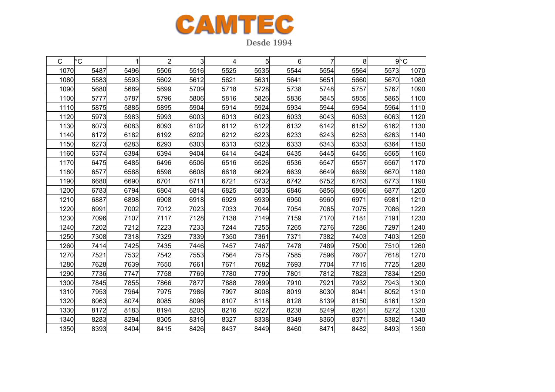

C |°C | 1 | 2| 3| 4| 5| 6| 7| 8| 9|°C 10700| 5487| 5496| 5506| 5516| 5525| 5535| 5544| 5554| 5564| 5573| 1070 10800| 5583| 5593| 5602| 5612| 5621| 5631| 5641| 5651| 5660| 5670| 1080 1090 5680 5689 5699 5709 5718 5728 5738 5748 5757 5767 1090 11000| 5777| 5787| 5796| 5806| 5816| 5826| 5836| 5845| 5855| 5865| 1100 1110 5875 5885 5895 5904 5914 5924 5934 5944 5954 5964 1110 11200| 5973| 5983| 5993| 6003| 6013| 6023| 6033| 6043| 6053| 6063| 1120 1130 6073 6083 6093 6102 6112 6122 6132 6142 6152 6162 1130 11400| 6172| 6182| 6192| 6202| 6212| 6223| 6233| 6243| 6253| 6263| 1140 1150 6273 6283 6293 6303 6313 6323 6333 6343 6353 6364 1150 1160 6374 6384 6394 9404 6414 6424 6435 6445 6455 6565 1160 11700| 6475| 6485| 6496| 6506| 6516| 6526| 6536| 6547| 6557| 6567| 1170 1180 6577 6588 6598 6608 6618 6629 6639 6649 6659 6670 1180 1190 6680 6690 6701 6711 6721 6732 6742 6752 6763 6773 1190 1200 6783 6794 6804 6814 6825 6835 6846 6856 6866 6877 1200 1210 6887 6898 6908 6918 6929 6939 6950 6960 6971 6981 1210 1220 6991 7002 7012 7023 7033 7044 7054 7065 7075 7086 1220 12300| 7096| 7107| 7117| 7128| 7138| 7149| 7159| 7170| 7181| 7191| 1230 1240 7202 7212 7223 7233 7244 7255 7265 7276 7286 7297 1240 1250 7308 7318 7329 7339 7350 7361 7371 7382 7403 7403 1250 1260 7414 7425 7435 7446 7457 7467 7478 7489 7500 7510 1260 1270 7521 7532 7542 7553 7564 7575 7585 7596 7607 7618 1270 1280 7628 7639 7650 7661 7671 7682 7693 7704 7715 7725 1280 1290 7736 7747 7758 7769 7780 7790 7801 7812 7823 7834 1290 1300 7845 7855 7866 7877 7888 7899 7910 7921 7932 7943 1300 1310 7953 7964 7975 7986 7997 8008 8019 8030 8041 8052 1310 1320 8063 8074 8085 8096 8107 8118 8128 8139 8150 8161 1320 1330 8172 8183 8194 8205 8216 8227 8238 8249 8261 8272 1330 1340 8283 8294 8305 8316 8327 8338 8349 8360 8371 8382 1340 13508393 8404 8415 8426 8437 8449 8460 8471 8482 8493 1350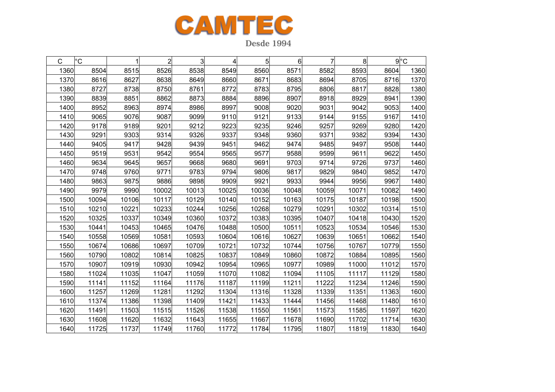

**Desde 1994** 

| С    | °C    |       | 2     | 3     | 4     | 5     | 6     | 7     | 8     |       | $9^{\circ}C$ |
|------|-------|-------|-------|-------|-------|-------|-------|-------|-------|-------|--------------|
| 1360 | 8504  | 8515  | 8526  | 8538  | 8549  | 8560  | 8571  | 8582  | 8593  | 8604  | 1360         |
| 1370 | 8616  | 8627  | 8638  | 8649  | 8660  | 8671  | 8683  | 8694  | 8705  | 8716  | 1370         |
| 1380 | 8727  | 8738  | 8750  | 8761  | 8772  | 8783  | 8795  | 8806  | 8817  | 8828  | 1380         |
| 1390 | 8839  | 8851  | 8862  | 8873  | 8884  | 8896  | 8907  | 8918  | 8929  | 8941  | 1390         |
| 1400 | 8952  | 8963  | 8974  | 8986  | 8997  | 9008  | 9020  | 9031  | 9042  | 9053  | 1400         |
| 1410 | 9065  | 9076  | 9087  | 9099  | 9110  | 9121  | 9133  | 9144  | 9155  | 9167  | 1410         |
| 1420 | 9178  | 9189  | 9201  | 9212  | 9223  | 9235  | 9246  | 9257  | 9269  | 9280  | 1420         |
| 1430 | 9291  | 9303  | 9314  | 9326  | 9337  | 9348  | 9360  | 9371  | 9382  | 9394  | 1430         |
| 1440 | 9405  | 9417  | 9428  | 9439  | 9451  | 9462  | 9474  | 9485  | 9497  | 9508  | 1440         |
| 1450 | 9519  | 9531  | 9542  | 9554  | 9565  | 9577  | 9588  | 9599  | 9611  | 9622  | 1450         |
| 1460 | 9634  | 9645  | 9657  | 9668  | 9680  | 9691  | 9703  | 9714  | 9726  | 9737  | 1460         |
| 1470 | 9748  | 9760  | 9771  | 9783  | 9794  | 9806  | 9817  | 9829  | 9840  | 9852  | 1470         |
| 1480 | 9863  | 9875  | 9886  | 9898  | 9909  | 9921  | 9933  | 9944  | 9956  | 9967  | 1480         |
| 1490 | 9979  | 9990  | 10002 | 10013 | 10025 | 10036 | 10048 | 10059 | 10071 | 10082 | 1490         |
| 1500 | 10094 | 10106 | 10117 | 10129 | 10140 | 10152 | 10163 | 10175 | 10187 | 10198 | 1500         |
| 1510 | 10210 | 10221 | 10233 | 10244 | 10256 | 10268 | 10279 | 10291 | 10302 | 10314 | 1510         |
| 1520 | 10325 | 10337 | 10349 | 10360 | 10372 | 10383 | 10395 | 10407 | 10418 | 10430 | 1520         |
| 1530 | 10441 | 10453 | 10465 | 10476 | 10488 | 10500 | 10511 | 10523 | 10534 | 10546 | 1530         |
| 1540 | 10558 | 10569 | 10581 | 10593 | 10604 | 10616 | 10627 | 10639 | 10651 | 10662 | 1540         |
| 1550 | 10674 | 10686 | 10697 | 10709 | 10721 | 10732 | 10744 | 10756 | 10767 | 10779 | 1550         |
| 1560 | 10790 | 10802 | 10814 | 10825 | 10837 | 10849 | 10860 | 10872 | 10884 | 10895 | 1560         |
| 1570 | 10907 | 10919 | 10930 | 10942 | 10954 | 10965 | 10977 | 10989 | 11000 | 11012 | 1570         |
| 1580 | 11024 | 11035 | 11047 | 11059 | 11070 | 11082 | 11094 | 11105 | 11117 | 11129 | 1580         |
| 1590 | 11141 | 11152 | 11164 | 11176 | 11187 | 11199 | 11211 | 11222 | 11234 | 11246 | 1590         |
| 1600 | 11257 | 11269 | 11281 | 11292 | 11304 | 11316 | 11328 | 11339 | 11351 | 11363 | 1600         |
| 1610 | 11374 | 11386 | 11398 | 11409 | 11421 | 11433 | 11444 | 11456 | 11468 | 11480 | 1610         |
| 1620 | 11491 | 11503 | 11515 | 11526 | 11538 | 11550 | 11561 | 11573 | 11585 | 11597 | 1620         |
| 1630 | 11608 | 11620 | 11632 | 11643 | 11655 | 11667 | 11678 | 11690 | 11702 | 11714 | 1630         |
| 1640 | 11725 | 11737 | 11749 | 11760 | 11772 | 11784 | 11795 | 11807 | 11819 | 11830 | 1640         |